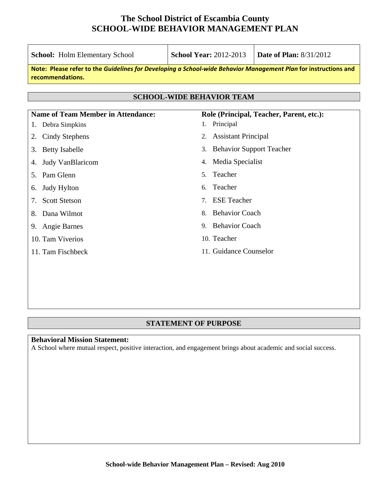| <b>School:</b> Holm Elementary School                                                                                               | <b>School Year: 2012-2013</b>                                   | <b>Date of Plan: 8/31/2012</b>           |
|-------------------------------------------------------------------------------------------------------------------------------------|-----------------------------------------------------------------|------------------------------------------|
| Note: Please refer to the Guidelines for Developing a School-wide Behavior Management Plan for instructions and<br>recommendations. |                                                                 |                                          |
|                                                                                                                                     | <b>SCHOOL-WIDE BEHAVIOR TEAM</b>                                |                                          |
| <b>Name of Team Member in Attendance:</b>                                                                                           |                                                                 | Role (Principal, Teacher, Parent, etc.): |
| Debra Simpkins<br>1.                                                                                                                | 1. Principal                                                    |                                          |
| Cindy Stephens<br>2.                                                                                                                | <b>Assistant Principal</b><br>2.                                |                                          |
| <b>Betty Isabelle</b><br>3.                                                                                                         | <b>Behavior Support Teacher</b><br>3.                           |                                          |
| Judy VanBlaricom<br>4.                                                                                                              | Media Specialist<br>4.                                          |                                          |
| 5. Pam Glenn                                                                                                                        | Teacher<br>5.                                                   |                                          |
| Judy Hylton<br>6.                                                                                                                   | Teacher<br>б.                                                   |                                          |
| <b>Scott Stetson</b><br>7.                                                                                                          | <b>ESE</b> Teacher<br>$7_{\scriptscriptstyle{\ddot{\text{c}}}}$ |                                          |
| Dana Wilmot<br>8.                                                                                                                   | <b>Behavior Coach</b><br>8.                                     |                                          |
| Angie Barnes<br>9.                                                                                                                  | 9. Behavior Coach                                               |                                          |
| 10. Tam Viverios                                                                                                                    | 10. Teacher                                                     |                                          |
| 11. Tam Fischbeck                                                                                                                   | 11. Guidance Counselor                                          |                                          |
|                                                                                                                                     |                                                                 |                                          |
|                                                                                                                                     |                                                                 |                                          |

#### **STATEMENT OF PURPOSE**

### **Behavioral Mission Statement:**

A School where mutual respect, positive interaction, and engagement brings about academic and social success.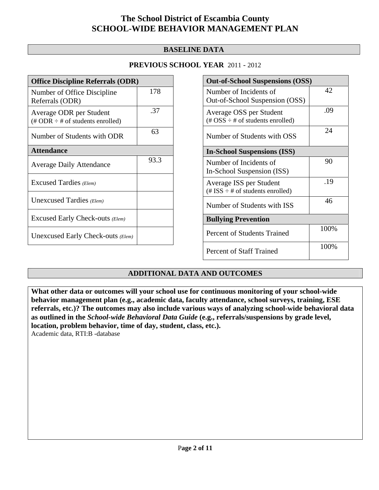### **BASELINE DATA**

### **PREVIOUS SCHOOL YEAR** 2011 - 2012

| <b>Office Discipline Referrals (ODR)</b>                                   |      |
|----------------------------------------------------------------------------|------|
| Number of Office Discipline<br>Referrals (ODR)                             | 178  |
| Average ODR per Student<br>$(\# ODR \div \# \text{ of students enrolled})$ | .37  |
| Number of Students with ODR                                                | 63   |
| <b>Attendance</b>                                                          |      |
| <b>Average Daily Attendance</b>                                            | 93.3 |
| Excused Tardies (Elem)                                                     |      |
| Unexcused Tardies (Elem)                                                   |      |
| Excused Early Check-outs (Elem)                                            |      |
| Unexcused Early Check-outs (Elem)                                          |      |

| <b>Out-of-School Suspensions (OSS)</b>                                                          |      |  |
|-------------------------------------------------------------------------------------------------|------|--|
| Number of Incidents of<br>Out-of-School Suspension (OSS)                                        | 42   |  |
| Average OSS per Student<br>$(\text{\#} \text{OSS} \div \text{\#} \text{ of students enrolled})$ | .09  |  |
| Number of Students with OSS                                                                     | 24   |  |
| <b>In-School Suspensions (ISS)</b>                                                              |      |  |
| Number of Incidents of<br>In-School Suspension (ISS)                                            | 90   |  |
| Average ISS per Student<br>(# ISS $\div$ # of students enrolled)                                | .19  |  |
| Number of Students with ISS                                                                     | 46   |  |
| <b>Bullying Prevention</b>                                                                      |      |  |
| Percent of Students Trained                                                                     | 100% |  |
| <b>Percent of Staff Trained</b>                                                                 | 100% |  |

### **ADDITIONAL DATA AND OUTCOMES**

**What other data or outcomes will your school use for continuous monitoring of your school-wide behavior management plan (e.g., academic data, faculty attendance, school surveys, training, ESE referrals, etc.)? The outcomes may also include various ways of analyzing school-wide behavioral data as outlined in the** *School-wide Behavioral Data Guide* **(e.g., referrals/suspensions by grade level, location, problem behavior, time of day, student, class, etc.).**

Academic data, RTI:B -database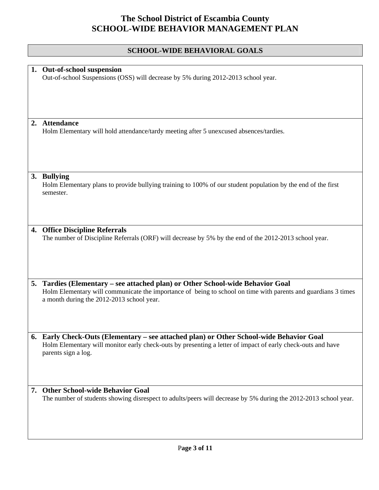## **SCHOOL-WIDE BEHAVIORAL GOALS**

|    | 1. Out-of-school suspension<br>Out-of-school Suspensions (OSS) will decrease by 5% during 2012-2013 school year.                                                                                                                             |
|----|----------------------------------------------------------------------------------------------------------------------------------------------------------------------------------------------------------------------------------------------|
|    |                                                                                                                                                                                                                                              |
|    | 2. Attendance<br>Holm Elementary will hold attendance/tardy meeting after 5 unexcused absences/tardies.                                                                                                                                      |
|    | 3. Bullying<br>Holm Elementary plans to provide bullying training to 100% of our student population by the end of the first<br>semester.                                                                                                     |
|    | 4. Office Discipline Referrals<br>The number of Discipline Referrals (ORF) will decrease by 5% by the end of the 2012-2013 school year.                                                                                                      |
|    | 5. Tardies (Elementary - see attached plan) or Other School-wide Behavior Goal<br>Holm Elementary will communicate the importance of being to school on time with parents and guardians 3 times<br>a month during the 2012-2013 school year. |
| 6. | Early Check-Outs (Elementary – see attached plan) or Other School-wide Behavior Goal<br>Holm Elementary will monitor early check-outs by presenting a letter of impact of early check-outs and have<br>parents sign a log.                   |
|    | 7. Other School-wide Behavior Goal<br>The number of students showing disrespect to adults/peers will decrease by 5% during the 2012-2013 school year.                                                                                        |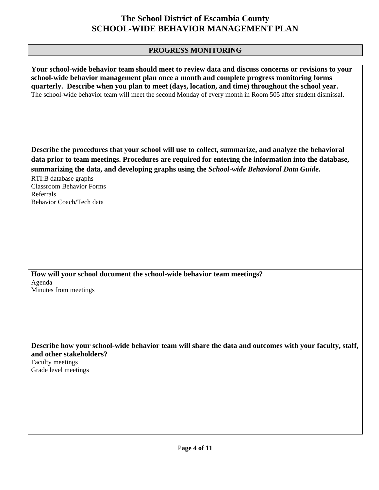## **PROGRESS MONITORING**

| Your school-wide behavior team should meet to review data and discuss concerns or revisions to your<br>school-wide behavior management plan once a month and complete progress monitoring forms<br>quarterly. Describe when you plan to meet (days, location, and time) throughout the school year.<br>The school-wide behavior team will meet the second Monday of every month in Room 505 after student dismissal. |
|----------------------------------------------------------------------------------------------------------------------------------------------------------------------------------------------------------------------------------------------------------------------------------------------------------------------------------------------------------------------------------------------------------------------|
| Describe the procedures that your school will use to collect, summarize, and analyze the behavioral                                                                                                                                                                                                                                                                                                                  |
| data prior to team meetings. Procedures are required for entering the information into the database,                                                                                                                                                                                                                                                                                                                 |
| summarizing the data, and developing graphs using the School-wide Behavioral Data Guide.                                                                                                                                                                                                                                                                                                                             |
| RTI:B database graphs<br><b>Classroom Behavior Forms</b>                                                                                                                                                                                                                                                                                                                                                             |
| Referrals                                                                                                                                                                                                                                                                                                                                                                                                            |
| Behavior Coach/Tech data                                                                                                                                                                                                                                                                                                                                                                                             |
|                                                                                                                                                                                                                                                                                                                                                                                                                      |
| How will your school document the school-wide behavior team meetings?                                                                                                                                                                                                                                                                                                                                                |
| Agenda<br>Minutes from meetings                                                                                                                                                                                                                                                                                                                                                                                      |
|                                                                                                                                                                                                                                                                                                                                                                                                                      |
|                                                                                                                                                                                                                                                                                                                                                                                                                      |
|                                                                                                                                                                                                                                                                                                                                                                                                                      |
|                                                                                                                                                                                                                                                                                                                                                                                                                      |
| Describe how your school-wide behavior team will share the data and outcomes with your faculty, staff,<br>and other stakeholders?<br>Faculty meetings<br>Grade level meetings                                                                                                                                                                                                                                        |
|                                                                                                                                                                                                                                                                                                                                                                                                                      |
|                                                                                                                                                                                                                                                                                                                                                                                                                      |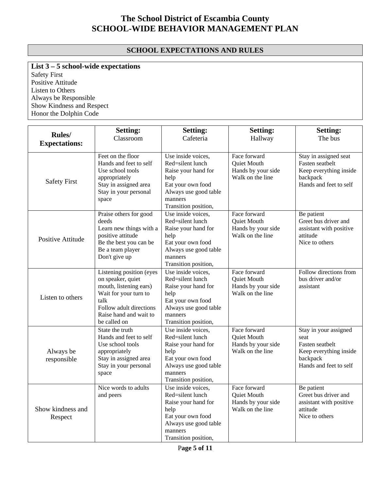### **SCHOOL EXPECTATIONS AND RULES**

## **List 3 – 5 school-wide expectations**

Safety First Positive Attitude Listen to Others Always be Responsible Show Kindness and Respect Honor the Dolphin Code

| Rules/<br><b>Expectations:</b> | <b>Setting:</b><br>Classroom                                                                                                                                                  | <b>Setting:</b><br>Cafeteria                                                                                                                           | <b>Setting:</b><br>Hallway                                            | <b>Setting:</b><br>The bus                                                                                       |
|--------------------------------|-------------------------------------------------------------------------------------------------------------------------------------------------------------------------------|--------------------------------------------------------------------------------------------------------------------------------------------------------|-----------------------------------------------------------------------|------------------------------------------------------------------------------------------------------------------|
| <b>Safety First</b>            | Feet on the floor<br>Hands and feet to self<br>Use school tools<br>appropriately<br>Stay in assigned area<br>Stay in your personal<br>space                                   | Use inside voices,<br>Red=silent lunch<br>Raise your hand for<br>help<br>Eat your own food<br>Always use good table<br>manners<br>Transition position, | Face forward<br>Quiet Mouth<br>Hands by your side<br>Walk on the line | Stay in assigned seat<br>Fasten seatbelt<br>Keep everything inside<br>backpack<br>Hands and feet to self         |
| Positive Attitude              | Praise others for good<br>deeds<br>Learn new things with a<br>positive attitude<br>Be the best you can be<br>Be a team player<br>Don't give up                                | Use inside voices,<br>Red=silent lunch<br>Raise your hand for<br>help<br>Eat your own food<br>Always use good table<br>manners<br>Transition position, | Face forward<br>Quiet Mouth<br>Hands by your side<br>Walk on the line | Be patient<br>Greet bus driver and<br>assistant with positive<br>attitude<br>Nice to others                      |
| Listen to others               | Listening position (eyes<br>on speaker, quiet<br>mouth, listening ears)<br>Wait for your turn to<br>talk<br>Follow adult directions<br>Raise hand and wait to<br>be called on | Use inside voices,<br>Red=silent lunch<br>Raise your hand for<br>help<br>Eat your own food<br>Always use good table<br>manners<br>Transition position, | Face forward<br>Quiet Mouth<br>Hands by your side<br>Walk on the line | Follow directions from<br>bus driver and/or<br>assistant                                                         |
| Always be<br>responsible       | State the truth<br>Hands and feet to self<br>Use school tools<br>appropriately<br>Stay in assigned area<br>Stay in your personal<br>space                                     | Use inside voices,<br>Red=silent lunch<br>Raise your hand for<br>help<br>Eat your own food<br>Always use good table<br>manners<br>Transition position, | Face forward<br>Quiet Mouth<br>Hands by your side<br>Walk on the line | Stay in your assigned<br>seat<br>Fasten seatbelt<br>Keep everything inside<br>backpack<br>Hands and feet to self |
| Show kindness and<br>Respect   | Nice words to adults<br>and peers                                                                                                                                             | Use inside voices,<br>Red=silent lunch<br>Raise your hand for<br>help<br>Eat your own food<br>Always use good table<br>manners<br>Transition position, | Face forward<br>Quiet Mouth<br>Hands by your side<br>Walk on the line | Be patient<br>Greet bus driver and<br>assistant with positive<br>attitude<br>Nice to others                      |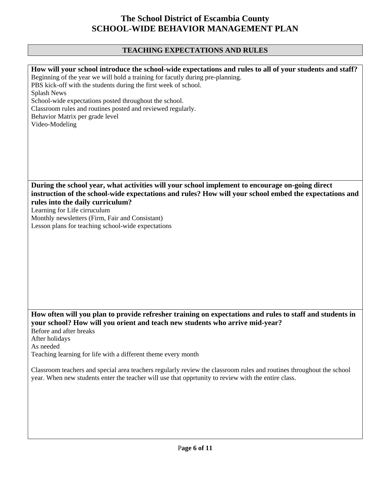## **TEACHING EXPECTATIONS AND RULES**

| How will your school introduce the school-wide expectations and rules to all of your students and staff?             |
|----------------------------------------------------------------------------------------------------------------------|
| Beginning of the year we will hold a training for facutly during pre-planning.                                       |
| PBS kick-off with the students during the first week of school.                                                      |
|                                                                                                                      |
| <b>Splash News</b>                                                                                                   |
| School-wide expectations posted throughout the school.                                                               |
| Classroom rules and routines posted and reviewed regularly.                                                          |
|                                                                                                                      |
| Behavior Matrix per grade level                                                                                      |
| Video-Modeling                                                                                                       |
|                                                                                                                      |
|                                                                                                                      |
|                                                                                                                      |
|                                                                                                                      |
|                                                                                                                      |
|                                                                                                                      |
|                                                                                                                      |
|                                                                                                                      |
| During the school year, what activities will your school implement to encourage on-going direct                      |
|                                                                                                                      |
| instruction of the school-wide expectations and rules? How will your school embed the expectations and               |
| rules into the daily curriculum?                                                                                     |
| Learning for Life cirruculum                                                                                         |
|                                                                                                                      |
| Monthly newsletters (Firm, Fair and Consistant)                                                                      |
| Lesson plans for teaching school-wide expectations                                                                   |
|                                                                                                                      |
|                                                                                                                      |
|                                                                                                                      |
|                                                                                                                      |
|                                                                                                                      |
|                                                                                                                      |
|                                                                                                                      |
|                                                                                                                      |
|                                                                                                                      |
|                                                                                                                      |
|                                                                                                                      |
|                                                                                                                      |
|                                                                                                                      |
| How often will you plan to provide refresher training on expectations and rules to staff and students in             |
| your school? How will you orient and teach new students who arrive mid-year?                                         |
| Before and after breaks                                                                                              |
|                                                                                                                      |
| After holidays                                                                                                       |
| As needed                                                                                                            |
| Teaching learning for life with a different theme every month                                                        |
|                                                                                                                      |
|                                                                                                                      |
| Classroom teachers and special area teachers regularly review the classroom rules and routines throughout the school |
| year. When new students enter the teacher will use that opprtunity to review with the entire class.                  |
|                                                                                                                      |
|                                                                                                                      |
|                                                                                                                      |
|                                                                                                                      |
|                                                                                                                      |
|                                                                                                                      |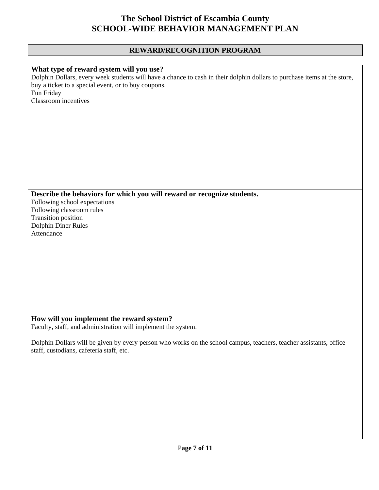## **REWARD/RECOGNITION PROGRAM**

| What type of reward system will you use?<br>Dolphin Dollars, every week students will have a chance to cash in their dolphin dollars to purchase items at the store,<br>buy a ticket to a special event, or to buy coupons.<br>Fun Friday<br>Classroom incentives<br>Describe the behaviors for which you will reward or recognize students.<br>Following school expectations<br>Following classroom rules<br>Transition position |
|-----------------------------------------------------------------------------------------------------------------------------------------------------------------------------------------------------------------------------------------------------------------------------------------------------------------------------------------------------------------------------------------------------------------------------------|
|                                                                                                                                                                                                                                                                                                                                                                                                                                   |
|                                                                                                                                                                                                                                                                                                                                                                                                                                   |
|                                                                                                                                                                                                                                                                                                                                                                                                                                   |
|                                                                                                                                                                                                                                                                                                                                                                                                                                   |
|                                                                                                                                                                                                                                                                                                                                                                                                                                   |
|                                                                                                                                                                                                                                                                                                                                                                                                                                   |
|                                                                                                                                                                                                                                                                                                                                                                                                                                   |
|                                                                                                                                                                                                                                                                                                                                                                                                                                   |
|                                                                                                                                                                                                                                                                                                                                                                                                                                   |
|                                                                                                                                                                                                                                                                                                                                                                                                                                   |
|                                                                                                                                                                                                                                                                                                                                                                                                                                   |
|                                                                                                                                                                                                                                                                                                                                                                                                                                   |
|                                                                                                                                                                                                                                                                                                                                                                                                                                   |
|                                                                                                                                                                                                                                                                                                                                                                                                                                   |
|                                                                                                                                                                                                                                                                                                                                                                                                                                   |
|                                                                                                                                                                                                                                                                                                                                                                                                                                   |
|                                                                                                                                                                                                                                                                                                                                                                                                                                   |
|                                                                                                                                                                                                                                                                                                                                                                                                                                   |
|                                                                                                                                                                                                                                                                                                                                                                                                                                   |
|                                                                                                                                                                                                                                                                                                                                                                                                                                   |
|                                                                                                                                                                                                                                                                                                                                                                                                                                   |
|                                                                                                                                                                                                                                                                                                                                                                                                                                   |
|                                                                                                                                                                                                                                                                                                                                                                                                                                   |
|                                                                                                                                                                                                                                                                                                                                                                                                                                   |
| <b>Dolphin Diner Rules</b>                                                                                                                                                                                                                                                                                                                                                                                                        |
| Attendance                                                                                                                                                                                                                                                                                                                                                                                                                        |
|                                                                                                                                                                                                                                                                                                                                                                                                                                   |
|                                                                                                                                                                                                                                                                                                                                                                                                                                   |
|                                                                                                                                                                                                                                                                                                                                                                                                                                   |
|                                                                                                                                                                                                                                                                                                                                                                                                                                   |
|                                                                                                                                                                                                                                                                                                                                                                                                                                   |
|                                                                                                                                                                                                                                                                                                                                                                                                                                   |
|                                                                                                                                                                                                                                                                                                                                                                                                                                   |
|                                                                                                                                                                                                                                                                                                                                                                                                                                   |
|                                                                                                                                                                                                                                                                                                                                                                                                                                   |
|                                                                                                                                                                                                                                                                                                                                                                                                                                   |
|                                                                                                                                                                                                                                                                                                                                                                                                                                   |
|                                                                                                                                                                                                                                                                                                                                                                                                                                   |
| How will you implement the reward system?                                                                                                                                                                                                                                                                                                                                                                                         |
|                                                                                                                                                                                                                                                                                                                                                                                                                                   |
|                                                                                                                                                                                                                                                                                                                                                                                                                                   |
| Faculty, staff, and administration will implement the system.                                                                                                                                                                                                                                                                                                                                                                     |
|                                                                                                                                                                                                                                                                                                                                                                                                                                   |
|                                                                                                                                                                                                                                                                                                                                                                                                                                   |
| Dolphin Dollars will be given by every person who works on the school campus, teachers, teacher assistants, office                                                                                                                                                                                                                                                                                                                |
| staff, custodians, cafeteria staff, etc.                                                                                                                                                                                                                                                                                                                                                                                          |
|                                                                                                                                                                                                                                                                                                                                                                                                                                   |
|                                                                                                                                                                                                                                                                                                                                                                                                                                   |
|                                                                                                                                                                                                                                                                                                                                                                                                                                   |
|                                                                                                                                                                                                                                                                                                                                                                                                                                   |
|                                                                                                                                                                                                                                                                                                                                                                                                                                   |
|                                                                                                                                                                                                                                                                                                                                                                                                                                   |
|                                                                                                                                                                                                                                                                                                                                                                                                                                   |
|                                                                                                                                                                                                                                                                                                                                                                                                                                   |
|                                                                                                                                                                                                                                                                                                                                                                                                                                   |
|                                                                                                                                                                                                                                                                                                                                                                                                                                   |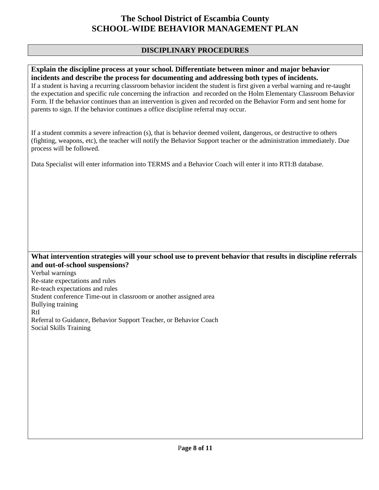#### **DISCIPLINARY PROCEDURES**

#### **Explain the discipline process at your school. Differentiate between minor and major behavior incidents and describe the process for documenting and addressing both types of incidents.**

If a student is having a recurring classroom behavior incident the student is first given a verbal warning and re-taught the expectation and specific rule concerning the infraction and recorded on the Holm Elementary Classroom Behavior Form. If the behavior continues than an intervention is given and recorded on the Behavior Form and sent home for parents to sign. If the behavior continues a office discipline referral may occur.

If a student commits a severe infreaction (s), that is behavior deemed voilent, dangerous, or destructive to others (fighting, weapons, etc), the teacher will notify the Behavior Support teacher or the administration immediately. Due process will be followed.

Data Specialist will enter information into TERMS and a Behavior Coach will enter it into RTI:B database.

#### **What intervention strategies will your school use to prevent behavior that results in discipline referrals and out-of-school suspensions?**

Verbal warnings Re-state expectations and rules Re-teach expectations and rules Student conference Time-out in classroom or another assigned area Bullying training RtI Referral to Guidance, Behavior Support Teacher, or Behavior Coach Social Skills Training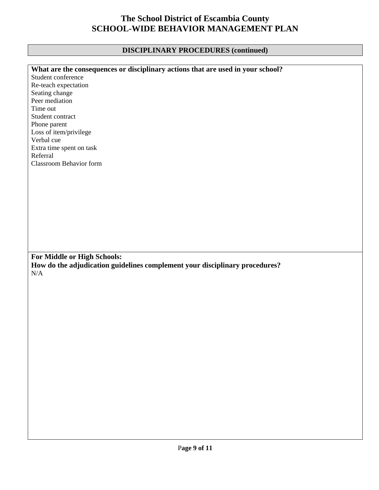### **DISCIPLINARY PROCEDURES (continued)**

| What are the consequences or disciplinary actions that are used in your school? |
|---------------------------------------------------------------------------------|
| Student conference                                                              |
| Re-teach expectation                                                            |
| Seating change                                                                  |
| Peer mediation                                                                  |
| Time out                                                                        |
| Student contract                                                                |
| Phone parent                                                                    |
| Loss of item/privilege                                                          |
| Verbal cue                                                                      |
| Extra time spent on task                                                        |
| Referral                                                                        |
| <b>Classroom Behavior form</b>                                                  |
|                                                                                 |
|                                                                                 |
|                                                                                 |
|                                                                                 |
|                                                                                 |
|                                                                                 |
|                                                                                 |
|                                                                                 |
|                                                                                 |
|                                                                                 |
|                                                                                 |
| For Middle or High Schools:                                                     |
| How do the adjudication guidelines complement your disciplinary procedures?     |
| N/A                                                                             |
|                                                                                 |
|                                                                                 |
|                                                                                 |
|                                                                                 |
|                                                                                 |
|                                                                                 |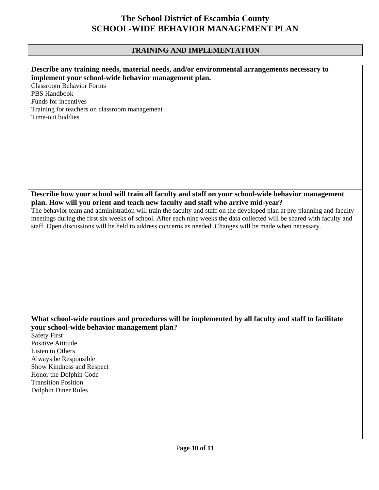## **TRAINING AND IMPLEMENTATION**

| Describe any training needs, material needs, and/or environmental arrangements necessary to<br>implement your school-wide behavior management plan.                                                                                 |
|-------------------------------------------------------------------------------------------------------------------------------------------------------------------------------------------------------------------------------------|
| <b>Classroom Behavior Forms</b><br><b>PBS Handbook</b>                                                                                                                                                                              |
| Funds for incentives                                                                                                                                                                                                                |
| Training for teachers on classroom management                                                                                                                                                                                       |
| Time-out buddies                                                                                                                                                                                                                    |
|                                                                                                                                                                                                                                     |
|                                                                                                                                                                                                                                     |
|                                                                                                                                                                                                                                     |
|                                                                                                                                                                                                                                     |
|                                                                                                                                                                                                                                     |
| Describe how your school will train all faculty and staff on your school-wide behavior management                                                                                                                                   |
| plan. How will you orient and teach new faculty and staff who arrive mid-year?                                                                                                                                                      |
| The behavior team and administration will train the faculty and staff on the developed plan at pre-planning and faculty                                                                                                             |
| meetings during the first six weeks of school. After each nine weeks the data collected will be shared with faculty and<br>staff. Open discussions will be held to address concerns as needed. Changes will be made when necessary. |
|                                                                                                                                                                                                                                     |
|                                                                                                                                                                                                                                     |
|                                                                                                                                                                                                                                     |
|                                                                                                                                                                                                                                     |
|                                                                                                                                                                                                                                     |
|                                                                                                                                                                                                                                     |
|                                                                                                                                                                                                                                     |
| What school-wide routines and procedures will be implemented by all faculty and staff to facilitate                                                                                                                                 |
| your school-wide behavior management plan?                                                                                                                                                                                          |
| <b>Safety First</b>                                                                                                                                                                                                                 |
| Positive Attitude<br>Listen to Others                                                                                                                                                                                               |
| Always be Responsible                                                                                                                                                                                                               |
| Show Kindness and Respect<br>Honor the Dolphin Code                                                                                                                                                                                 |
| <b>Transition Position</b>                                                                                                                                                                                                          |
| <b>Dolphin Diner Rules</b>                                                                                                                                                                                                          |
|                                                                                                                                                                                                                                     |
|                                                                                                                                                                                                                                     |